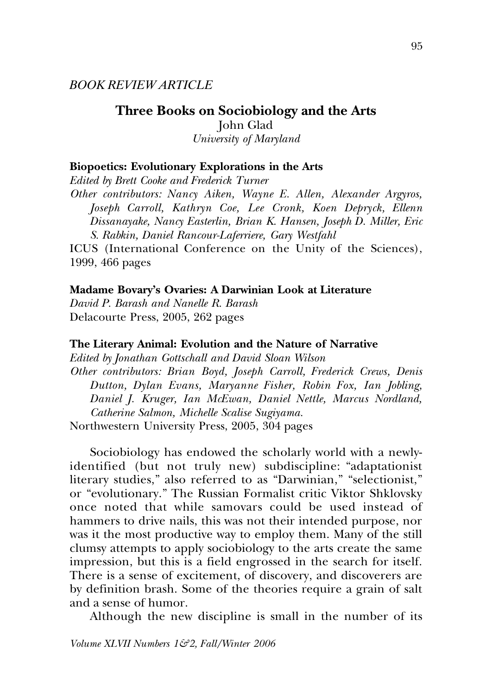*BOOK REVIEW ARTICLE*

**Three Books on Sociobiology and the Arts** John Glad *University of Maryland*

### **Biopoetics: Evolutionary Explorations in the Arts**

*Edited by Brett Cooke and Frederick Turner*

*Other contributors: Nancy Aiken, Wayne E. Allen, Alexander Argyros, Joseph Carroll, Kathryn Coe, Lee Cronk, Koen Depryck, Ellenn Dissanayake, Nancy Easterlin, Brian K. Hansen, Joseph D. Miller, Eric S. Rabkin, Daniel Rancour-Laferriere, Gary Westfahl*

ICUS (International Conference on the Unity of the Sciences), 1999, 466 pages

### **Madame Bovary's Ovaries: A Darwinian Look at Literature**

*David P. Barash and Nanelle R. Barash* Delacourte Press, 2005, 262 pages

#### **The Literary Animal: Evolution and the Nature of Narrative**

*Edited by Jonathan Gottschall and David Sloan Wilson Other contributors: Brian Boyd, Joseph Carroll, Frederick Crews, Denis Dutton, Dylan Evans, Maryanne Fisher, Robin Fox, Ian Jobling, Daniel J. Kruger, Ian McEwan, Daniel Nettle, Marcus Nordland, Catherine Salmon, Michelle Scalise Sugiyama.* Northwestern University Press, 2005, 304 pages

Sociobiology has endowed the scholarly world with a newlyidentified (but not truly new) subdiscipline: "adaptationist literary studies," also referred to as "Darwinian," "selectionist," or "evolutionary." The Russian Formalist critic Viktor Shklovsky once noted that while samovars could be used instead of hammers to drive nails, this was not their intended purpose, nor was it the most productive way to employ them. Many of the still clumsy attempts to apply sociobiology to the arts create the same impression, but this is a field engrossed in the search for itself. There is a sense of excitement, of discovery, and discoverers are by definition brash. Some of the theories require a grain of salt and a sense of humor.

Although the new discipline is small in the number of its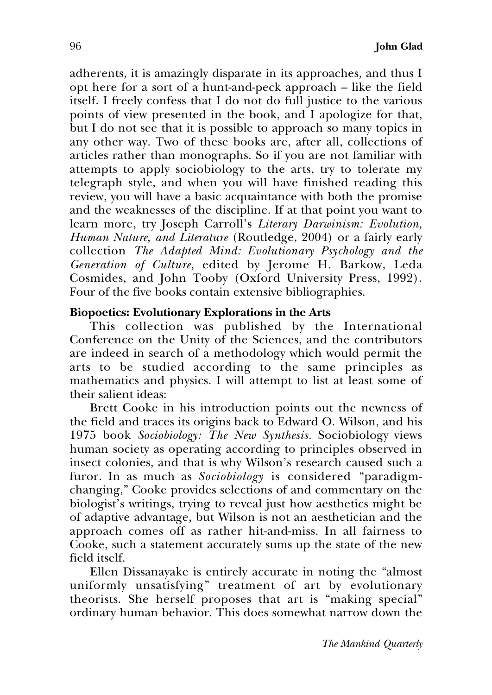adherents, it is amazingly disparate in its approaches, and thus I opt here for a sort of a hunt-and-peck approach – like the field itself. I freely confess that I do not do full justice to the various points of view presented in the book, and I apologize for that, but I do not see that it is possible to approach so many topics in any other way. Two of these books are, after all, collections of articles rather than monographs. So if you are not familiar with attempts to apply sociobiology to the arts, try to tolerate my telegraph style, and when you will have finished reading this review, you will have a basic acquaintance with both the promise and the weaknesses of the discipline. If at that point you want to learn more, try Joseph Carroll's *Literary Darwinism: Evolution, Human Nature, and Literature* (Routledge, 2004) or a fairly early collection *The Adapted Mind: Evolutionary Psychology and the Generation of Culture,* edited by Jerome H. Barkow, Leda Cosmides, and John Tooby (Oxford University Press, 1992). Four of the five books contain extensive bibliographies.

# **Biopoetics: Evolutionary Explorations in the Arts**

This collection was published by the International Conference on the Unity of the Sciences, and the contributors are indeed in search of a methodology which would permit the arts to be studied according to the same principles as mathematics and physics. I will attempt to list at least some of their salient ideas:

Brett Cooke in his introduction points out the newness of the field and traces its origins back to Edward O. Wilson, and his 1975 book *Sociobiology: The New Synthesis.* Sociobiology views human society as operating according to principles observed in insect colonies, and that is why Wilson's research caused such a furor. In as much as *Sociobiology* is considered "paradigmchanging," Cooke provides selections of and commentary on the biologist's writings, trying to reveal just how aesthetics might be of adaptive advantage, but Wilson is not an aesthetician and the approach comes off as rather hit-and-miss. In all fairness to Cooke, such a statement accurately sums up the state of the new field itself.

Ellen Dissanayake is entirely accurate in noting the "almost uniformly unsatisfying" treatment of art by evolutionary theorists. She herself proposes that art is "making special" ordinary human behavior. This does somewhat narrow down the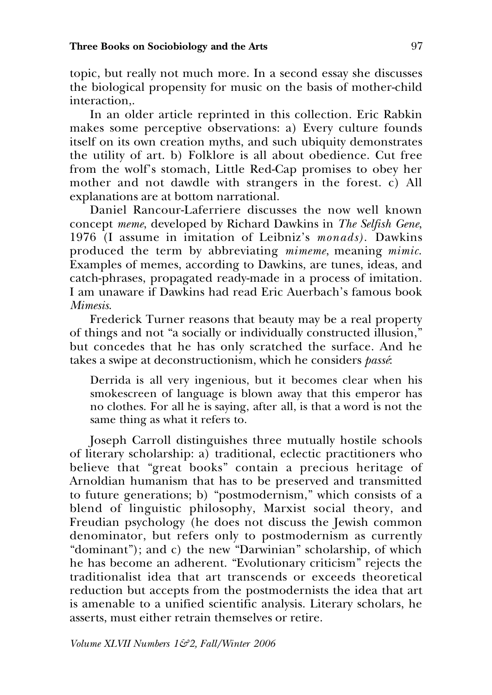topic, but really not much more. In a second essay she discusses the biological propensity for music on the basis of mother-child interaction,.

In an older article reprinted in this collection. Eric Rabkin makes some perceptive observations: a) Every culture founds itself on its own creation myths, and such ubiquity demonstrates the utility of art. b) Folklore is all about obedience. Cut free from the wolf's stomach, Little Red-Cap promises to obey her mother and not dawdle with strangers in the forest. c) All explanations are at bottom narrational.

Daniel Rancour-Laferriere discusses the now well known concept *meme*, developed by Richard Dawkins in *The Selfish Gene*, 1976 (I assume in imitation of Leibniz's *monads)*. Dawkins produced the term by abbreviating *mimeme*, meaning *mimic*. Examples of memes, according to Dawkins, are tunes, ideas, and catch-phrases, propagated ready-made in a process of imitation. I am unaware if Dawkins had read Eric Auerbach's famous book *Mimesis*.

Frederick Turner reasons that beauty may be a real property of things and not "a socially or individually constructed illusion," but concedes that he has only scratched the surface. And he takes a swipe at deconstructionism, which he considers *passé*:

Derrida is all very ingenious, but it becomes clear when his smokescreen of language is blown away that this emperor has no clothes. For all he is saying, after all, is that a word is not the same thing as what it refers to.

Joseph Carroll distinguishes three mutually hostile schools of literary scholarship: a) traditional, eclectic practitioners who believe that "great books" contain a precious heritage of Arnoldian humanism that has to be preserved and transmitted to future generations; b) "postmodernism," which consists of a blend of linguistic philosophy, Marxist social theory, and Freudian psychology (he does not discuss the Jewish common denominator, but refers only to postmodernism as currently "dominant"); and c) the new "Darwinian" scholarship, of which he has become an adherent. "Evolutionary criticism" rejects the traditionalist idea that art transcends or exceeds theoretical reduction but accepts from the postmodernists the idea that art is amenable to a unified scientific analysis. Literary scholars, he asserts, must either retrain themselves or retire.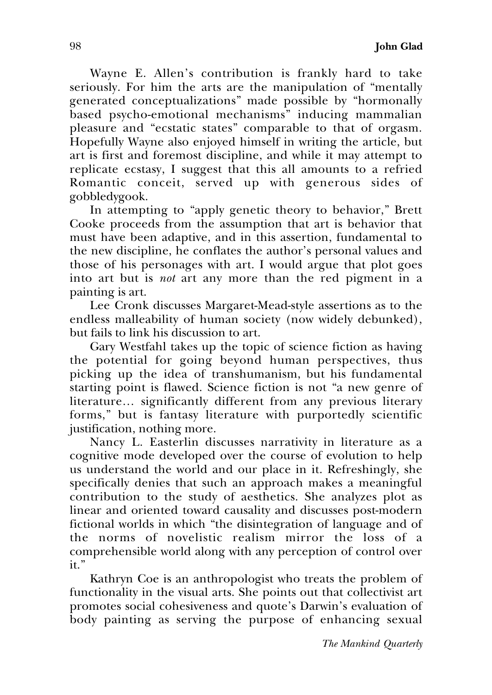Wayne E. Allen's contribution is frankly hard to take seriously. For him the arts are the manipulation of "mentally generated conceptualizations" made possible by "hormonally based psycho-emotional mechanisms" inducing mammalian pleasure and "ecstatic states" comparable to that of orgasm. Hopefully Wayne also enjoyed himself in writing the article, but art is first and foremost discipline, and while it may attempt to replicate ecstasy, I suggest that this all amounts to a refried Romantic conceit, served up with generous sides of gobbledygook.

In attempting to "apply genetic theory to behavior," Brett Cooke proceeds from the assumption that art is behavior that must have been adaptive, and in this assertion, fundamental to the new discipline, he conflates the author's personal values and those of his personages with art. I would argue that plot goes into art but is *not* art any more than the red pigment in a painting is art.

Lee Cronk discusses Margaret-Mead-style assertions as to the endless malleability of human society (now widely debunked), but fails to link his discussion to art.

Gary Westfahl takes up the topic of science fiction as having the potential for going beyond human perspectives, thus picking up the idea of transhumanism, but his fundamental starting point is flawed. Science fiction is not "a new genre of literature… significantly different from any previous literary forms," but is fantasy literature with purportedly scientific justification, nothing more.

Nancy L. Easterlin discusses narrativity in literature as a cognitive mode developed over the course of evolution to help us understand the world and our place in it. Refreshingly, she specifically denies that such an approach makes a meaningful contribution to the study of aesthetics. She analyzes plot as linear and oriented toward causality and discusses post-modern fictional worlds in which "the disintegration of language and of the norms of novelistic realism mirror the loss of a comprehensible world along with any perception of control over it."

Kathryn Coe is an anthropologist who treats the problem of functionality in the visual arts. She points out that collectivist art promotes social cohesiveness and quote's Darwin's evaluation of body painting as serving the purpose of enhancing sexual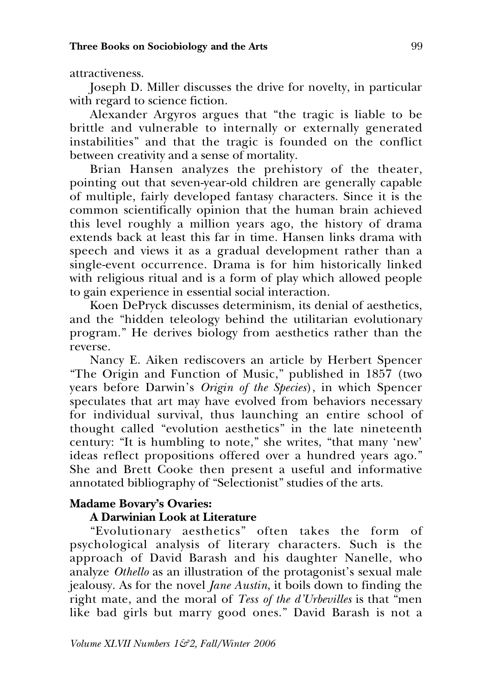attractiveness.

Joseph D. Miller discusses the drive for novelty, in particular with regard to science fiction.

Alexander Argyros argues that "the tragic is liable to be brittle and vulnerable to internally or externally generated instabilities" and that the tragic is founded on the conflict between creativity and a sense of mortality.

Brian Hansen analyzes the prehistory of the theater, pointing out that seven-year-old children are generally capable of multiple, fairly developed fantasy characters. Since it is the common scientifically opinion that the human brain achieved this level roughly a million years ago, the history of drama extends back at least this far in time. Hansen links drama with speech and views it as a gradual development rather than a single-event occurrence. Drama is for him historically linked with religious ritual and is a form of play which allowed people to gain experience in essential social interaction.

Koen DePryck discusses determinism, its denial of aesthetics, and the "hidden teleology behind the utilitarian evolutionary program." He derives biology from aesthetics rather than the reverse.

Nancy E. Aiken rediscovers an article by Herbert Spencer "The Origin and Function of Music," published in 1857 (two years before Darwin's *Origin of the Species*), in which Spencer speculates that art may have evolved from behaviors necessary for individual survival, thus launching an entire school of thought called "evolution aesthetics" in the late nineteenth century: "It is humbling to note," she writes, "that many 'new' ideas reflect propositions offered over a hundred years ago." She and Brett Cooke then present a useful and informative annotated bibliography of "Selectionist" studies of the arts.

### **Madame Bovary's Ovaries:**

## **A Darwinian Look at Literature**

"Evolutionary aesthetics" often takes the form of psychological analysis of literary characters. Such is the approach of David Barash and his daughter Nanelle, who analyze *Othello* as an illustration of the protagonist's sexual male jealousy. As for the novel *Jane Austin*, it boils down to finding the right mate, and the moral of *Tess of the d'Urbevilles* is that "men like bad girls but marry good ones." David Barash is not a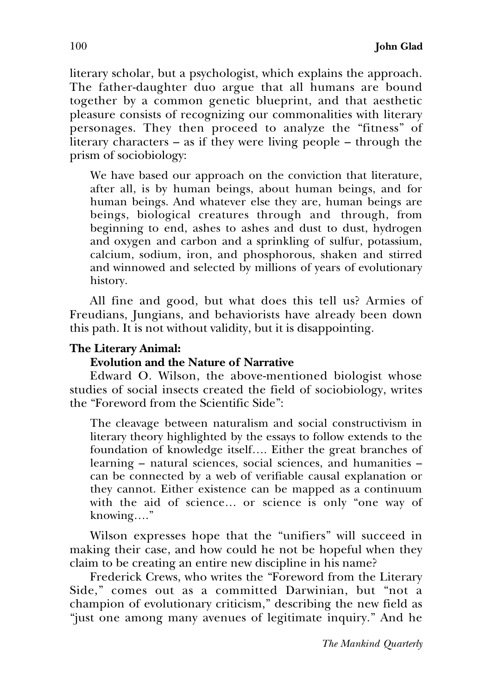literary scholar, but a psychologist, which explains the approach. The father-daughter duo argue that all humans are bound together by a common genetic blueprint, and that aesthetic pleasure consists of recognizing our commonalities with literary personages. They then proceed to analyze the "fitness" of literary characters – as if they were living people – through the prism of sociobiology:

We have based our approach on the conviction that literature, after all, is by human beings, about human beings, and for human beings. And whatever else they are, human beings are beings, biological creatures through and through, from beginning to end, ashes to ashes and dust to dust, hydrogen and oxygen and carbon and a sprinkling of sulfur, potassium, calcium, sodium, iron, and phosphorous, shaken and stirred and winnowed and selected by millions of years of evolutionary history.

All fine and good, but what does this tell us? Armies of Freudians, Jungians, and behaviorists have already been down this path. It is not without validity, but it is disappointing.

### **The Literary Animal:**

### **Evolution and the Nature of Narrative**

Edward O. Wilson, the above-mentioned biologist whose studies of social insects created the field of sociobiology, writes the "Foreword from the Scientific Side":

The cleavage between naturalism and social constructivism in literary theory highlighted by the essays to follow extends to the foundation of knowledge itself…. Either the great branches of learning – natural sciences, social sciences, and humanities – can be connected by a web of verifiable causal explanation or they cannot. Either existence can be mapped as a continuum with the aid of science… or science is only "one way of knowing…."

Wilson expresses hope that the "unifiers" will succeed in making their case, and how could he not be hopeful when they claim to be creating an entire new discipline in his name?

Frederick Crews, who writes the "Foreword from the Literary Side," comes out as a committed Darwinian, but "not a champion of evolutionary criticism," describing the new field as "just one among many avenues of legitimate inquiry." And he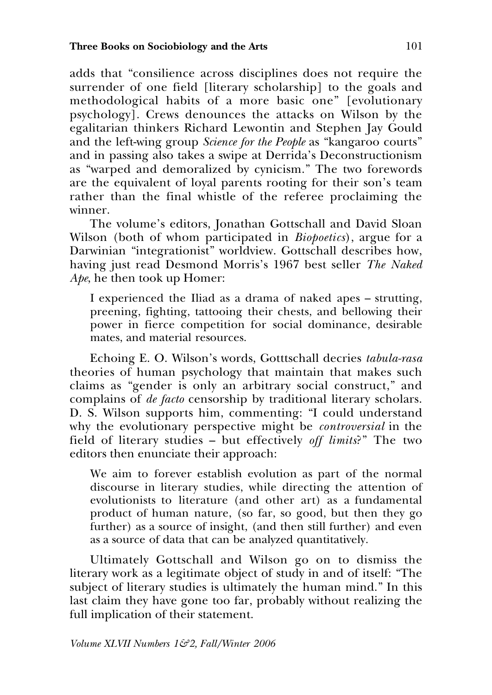adds that "consilience across disciplines does not require the surrender of one field [literary scholarship] to the goals and methodological habits of a more basic one" [evolutionary psychology]. Crews denounces the attacks on Wilson by the egalitarian thinkers Richard Lewontin and Stephen Jay Gould and the left-wing group *Science for the People* as "kangaroo courts" and in passing also takes a swipe at Derrida's Deconstructionism as "warped and demoralized by cynicism." The two forewords are the equivalent of loyal parents rooting for their son's team rather than the final whistle of the referee proclaiming the winner.

The volume's editors, Jonathan Gottschall and David Sloan Wilson (both of whom participated in *Biopoetics*), argue for a Darwinian "integrationist" worldview. Gottschall describes how, having just read Desmond Morris's 1967 best seller *The Naked Ape*, he then took up Homer:

I experienced the Iliad as a drama of naked apes – strutting, preening, fighting, tattooing their chests, and bellowing their power in fierce competition for social dominance, desirable mates, and material resources.

Echoing E. O. Wilson's words, Gotttschall decries *tabula-rasa* theories of human psychology that maintain that makes such claims as "gender is only an arbitrary social construct," and complains of *de facto* censorship by traditional literary scholars. D. S. Wilson supports him, commenting: "I could understand why the evolutionary perspective might be *controversial* in the field of literary studies – but effectively *off limits*?" The two editors then enunciate their approach:

We aim to forever establish evolution as part of the normal discourse in literary studies, while directing the attention of evolutionists to literature (and other art) as a fundamental product of human nature, (so far, so good, but then they go further) as a source of insight, (and then still further) and even as a source of data that can be analyzed quantitatively.

Ultimately Gottschall and Wilson go on to dismiss the literary work as a legitimate object of study in and of itself: "The subject of literary studies is ultimately the human mind." In this last claim they have gone too far, probably without realizing the full implication of their statement.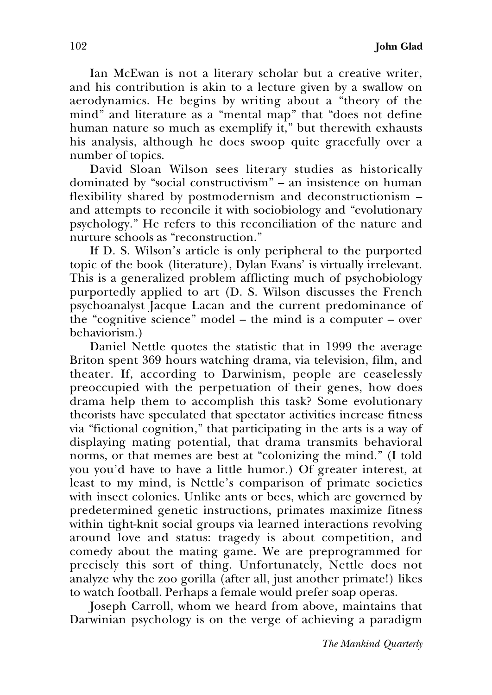Ian McEwan is not a literary scholar but a creative writer, and his contribution is akin to a lecture given by a swallow on aerodynamics. He begins by writing about a "theory of the mind" and literature as a "mental map" that "does not define human nature so much as exemplify it," but therewith exhausts his analysis, although he does swoop quite gracefully over a number of topics.

David Sloan Wilson sees literary studies as historically dominated by "social constructivism" – an insistence on human flexibility shared by postmodernism and deconstructionism – and attempts to reconcile it with sociobiology and "evolutionary psychology." He refers to this reconciliation of the nature and nurture schools as "reconstruction."

If D. S. Wilson's article is only peripheral to the purported topic of the book (literature), Dylan Evans' is virtually irrelevant. This is a generalized problem afflicting much of psychobiology purportedly applied to art (D. S. Wilson discusses the French psychoanalyst Jacque Lacan and the current predominance of the "cognitive science" model – the mind is a computer – over behaviorism.)

Daniel Nettle quotes the statistic that in 1999 the average Briton spent 369 hours watching drama, via television, film, and theater. If, according to Darwinism, people are ceaselessly preoccupied with the perpetuation of their genes, how does drama help them to accomplish this task? Some evolutionary theorists have speculated that spectator activities increase fitness via "fictional cognition," that participating in the arts is a way of displaying mating potential, that drama transmits behavioral norms, or that memes are best at "colonizing the mind." (I told you you'd have to have a little humor.) Of greater interest, at least to my mind, is Nettle's comparison of primate societies with insect colonies. Unlike ants or bees, which are governed by predetermined genetic instructions, primates maximize fitness within tight-knit social groups via learned interactions revolving around love and status: tragedy is about competition, and comedy about the mating game. We are preprogrammed for precisely this sort of thing. Unfortunately, Nettle does not analyze why the zoo gorilla (after all, just another primate!) likes to watch football. Perhaps a female would prefer soap operas.

Joseph Carroll, whom we heard from above, maintains that Darwinian psychology is on the verge of achieving a paradigm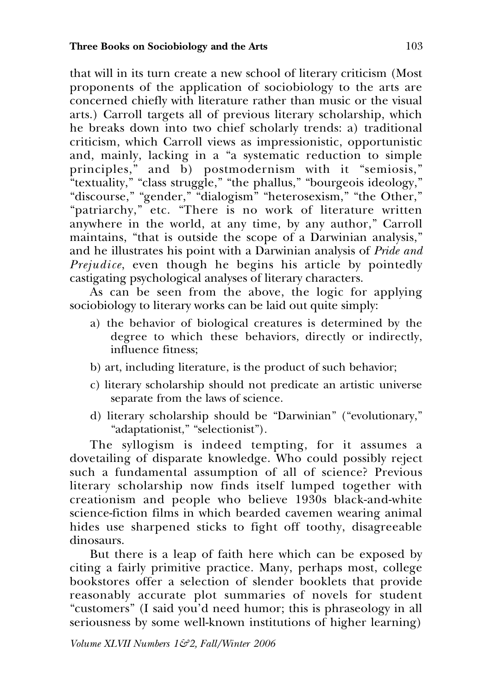that will in its turn create a new school of literary criticism (Most proponents of the application of sociobiology to the arts are concerned chiefly with literature rather than music or the visual arts.) Carroll targets all of previous literary scholarship, which he breaks down into two chief scholarly trends: a) traditional criticism, which Carroll views as impressionistic, opportunistic and, mainly, lacking in a "a systematic reduction to simple principles," and b) postmodernism with it "semiosis," "textuality," "class struggle," "the phallus," "bourgeois ideology," "discourse," "gender," "dialogism" "heterosexism," "the Other," "patriarchy," etc. "There is no work of literature written anywhere in the world, at any time, by any author," Carroll maintains, "that is outside the scope of a Darwinian analysis," and he illustrates his point with a Darwinian analysis of *Pride and Prejudice*, even though he begins his article by pointedly castigating psychological analyses of literary characters.

As can be seen from the above, the logic for applying sociobiology to literary works can be laid out quite simply:

- a) the behavior of biological creatures is determined by the degree to which these behaviors, directly or indirectly, influence fitness;
- b) art, including literature, is the product of such behavior;
- c) literary scholarship should not predicate an artistic universe separate from the laws of science.
- d) literary scholarship should be "Darwinian" ("evolutionary," "adaptationist," "selectionist").

The syllogism is indeed tempting, for it assumes a dovetailing of disparate knowledge. Who could possibly reject such a fundamental assumption of all of science? Previous literary scholarship now finds itself lumped together with creationism and people who believe 1930s black-and-white science-fiction films in which bearded cavemen wearing animal hides use sharpened sticks to fight off toothy, disagreeable dinosaurs.

But there is a leap of faith here which can be exposed by citing a fairly primitive practice. Many, perhaps most, college bookstores offer a selection of slender booklets that provide reasonably accurate plot summaries of novels for student "customers" (I said you'd need humor; this is phraseology in all seriousness by some well-known institutions of higher learning)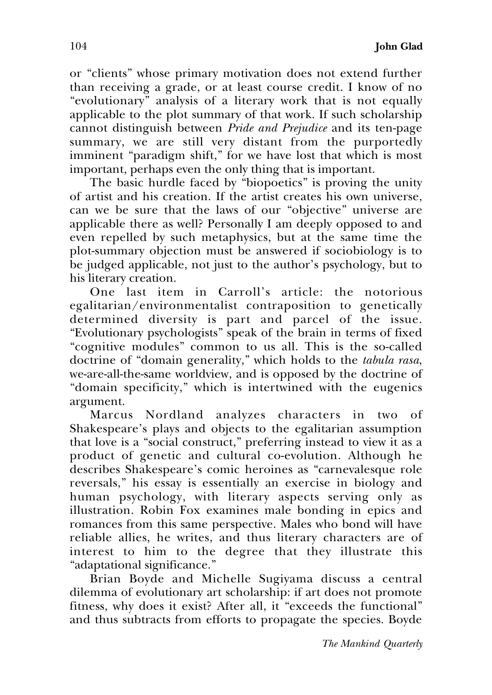or "clients" whose primary motivation does not extend further than receiving a grade, or at least course credit. I know of no "evolutionary" analysis of a literary work that is not equally applicable to the plot summary of that work. If such scholarship cannot distinguish between *Pride and Prejudice* and its ten-page summary, we are still very distant from the purportedly imminent "paradigm shift," for we have lost that which is most important, perhaps even the only thing that is important.

The basic hurdle faced by "biopoetics" is proving the unity of artist and his creation. If the artist creates his own universe, can we be sure that the laws of our "objective" universe are applicable there as well? Personally I am deeply opposed to and even repelled by such metaphysics, but at the same time the plot-summary objection must be answered if sociobiology is to be judged applicable, not just to the author's psychology, but to his literary creation.

One last item in Carroll's article: the notorious egalitarian/environmentalist contraposition to genetically determined diversity is part and parcel of the issue. "Evolutionary psychologists" speak of the brain in terms of fixed "cognitive modules" common to us all. This is the so-called doctrine of "domain generality," which holds to the *tabula rasa*, we-are-all-the-same worldview, and is opposed by the doctrine of "domain specificity," which is intertwined with the eugenics argument.

Marcus Nordland analyzes characters in two of Shakespeare's plays and objects to the egalitarian assumption that love is a "social construct," preferring instead to view it as a product of genetic and cultural co-evolution. Although he describes Shakespeare's comic heroines as "carnevalesque role reversals," his essay is essentially an exercise in biology and human psychology, with literary aspects serving only as illustration. Robin Fox examines male bonding in epics and romances from this same perspective. Males who bond will have reliable allies, he writes, and thus literary characters are of interest to him to the degree that they illustrate this "adaptational significance."

Brian Boyde and Michelle Sugiyama discuss a central dilemma of evolutionary art scholarship: if art does not promote fitness, why does it exist? After all, it "exceeds the functional" and thus subtracts from efforts to propagate the species. Boyde